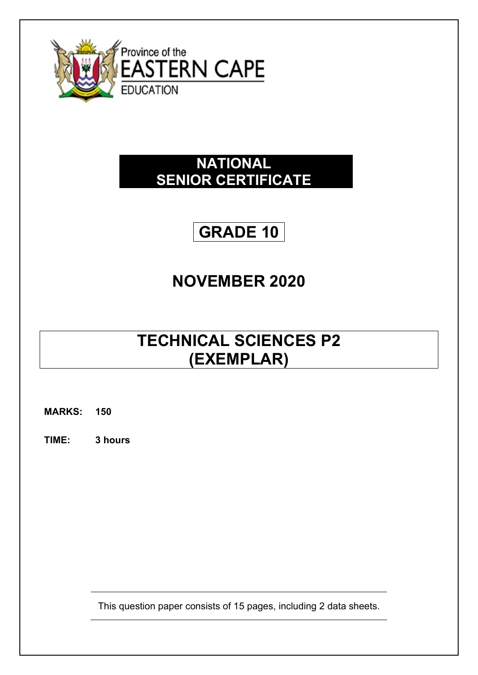

### **NATIONAL SENIOR CERTIFICATE**

# **GRADE 10**

## **NOVEMBER 2020**

### **TECHNICAL SCIENCES P2 (EXEMPLAR)**

**MARKS: 150**

**TIME: 3 hours**

This question paper consists of 15 pages, including 2 data sheets.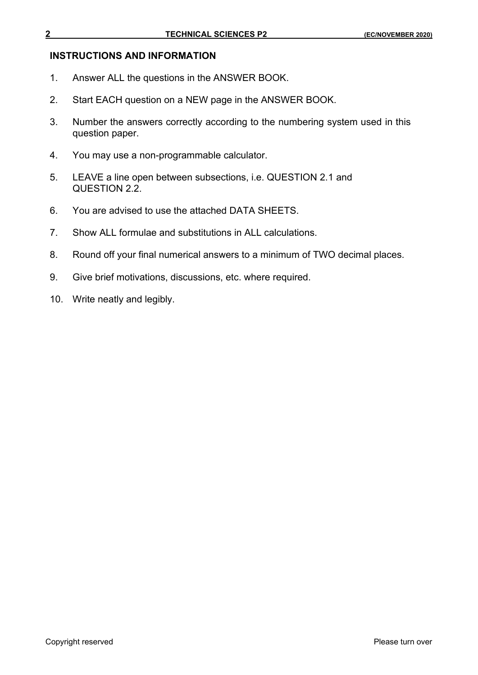#### **INSTRUCTIONS AND INFORMATION**

- 1. Answer ALL the questions in the ANSWER BOOK.
- 2. Start EACH question on a NEW page in the ANSWER BOOK.
- 3. Number the answers correctly according to the numbering system used in this question paper.
- 4. You may use a non-programmable calculator.
- 5. LEAVE a line open between subsections, i.e. QUESTION 2.1 and QUESTION 2.2.
- 6. You are advised to use the attached DATA SHEETS.
- 7. Show ALL formulae and substitutions in ALL calculations.
- 8. Round off your final numerical answers to a minimum of TWO decimal places.
- 9. Give brief motivations, discussions, etc. where required.
- 10. Write neatly and legibly.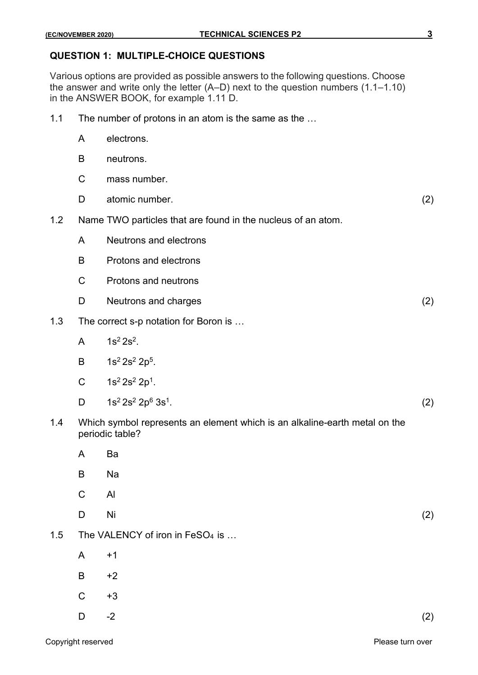#### **QUESTION 1: MULTIPLE-CHOICE QUESTIONS**

Various options are provided as possible answers to the following questions. Choose the answer and write only the letter (A–D) next to the question numbers (1.1–1.10) in the ANSWER BOOK, for example 1.11 D.

- 1.1 The number of protons in an atom is the same as the …
	- A electrons.
	- B neutrons.
	- C mass number.
	- D atomic number. (2)
- 1.2 Name TWO particles that are found in the nucleus of an atom.
	- A Neutrons and electrons
	- B Protons and electrons
	- C Protons and neutrons
	- D Neutrons and charges (2) (2)
- 1.3 The correct s-p notation for Boron is …
	- A  $1s^2 2s^2$ .
	- B  $1s^2 2s^2 2p^5$ .
	- C  $1s^2 2s^2 2p^1$ .
	- D  $1s^2 2s^2 2p^6 3s^1$ .
		- .  $(2)$
- 1.4 Which symbol represents an element which is an alkaline-earth metal on the periodic table?
	- A Ba
	- B Na
	- C Al
	- D Ni  $(2)$
- 1.5 The VALENCY of iron in FeSO<sub>4</sub> is ...
	- $A +1$
	- $B +2$
	- $C +3$
	- D  $-2$  (2)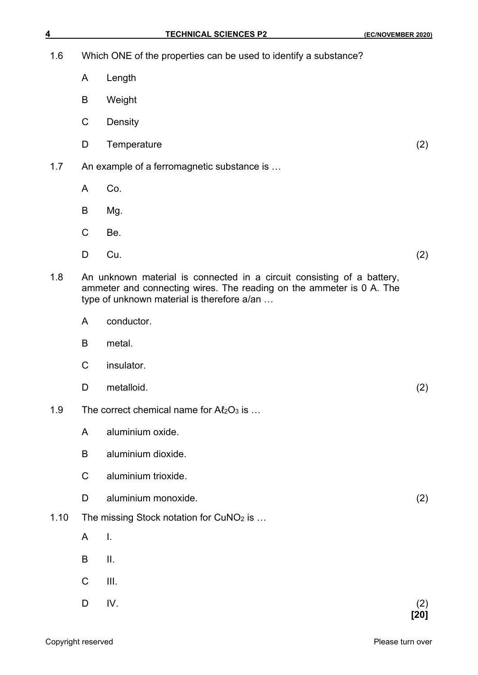| <u>4</u> |             | <b>TECHNICAL SCIENCES P2</b>                                                                                                                                                                 | (EC/NOVEMBER 2020) |
|----------|-------------|----------------------------------------------------------------------------------------------------------------------------------------------------------------------------------------------|--------------------|
| 1.6      |             | Which ONE of the properties can be used to identify a substance?                                                                                                                             |                    |
|          | A           | Length                                                                                                                                                                                       |                    |
|          | B           | Weight                                                                                                                                                                                       |                    |
|          | $\mathsf C$ | Density                                                                                                                                                                                      |                    |
|          | D           | Temperature                                                                                                                                                                                  | (2)                |
| 1.7      |             | An example of a ferromagnetic substance is                                                                                                                                                   |                    |
|          | A           | Co.                                                                                                                                                                                          |                    |
|          | B           | Mg.                                                                                                                                                                                          |                    |
|          | $\mathsf C$ | Be.                                                                                                                                                                                          |                    |
|          | D           | Cu.                                                                                                                                                                                          | (2)                |
| 1.8      |             | An unknown material is connected in a circuit consisting of a battery,<br>ammeter and connecting wires. The reading on the ammeter is 0 A. The<br>type of unknown material is therefore a/an |                    |
|          | A           | conductor.                                                                                                                                                                                   |                    |
|          | B           | metal.                                                                                                                                                                                       |                    |
|          | $\mathsf C$ | insulator.                                                                                                                                                                                   |                    |
|          | D           | metalloid.                                                                                                                                                                                   | (2)                |
| 1.9      |             | The correct chemical name for $A\ell_2O_3$ is                                                                                                                                                |                    |
|          | A           | aluminium oxide.                                                                                                                                                                             |                    |
|          | B           | aluminium dioxide.                                                                                                                                                                           |                    |
|          | $\mathsf C$ | aluminium trioxide.                                                                                                                                                                          |                    |
|          | D           | aluminium monoxide.                                                                                                                                                                          | (2)                |
| 1.10     |             | The missing Stock notation for CuNO <sub>2</sub> is                                                                                                                                          |                    |
|          | A           | I.                                                                                                                                                                                           |                    |
|          | B           | Ш.                                                                                                                                                                                           |                    |
|          | $\mathsf C$ | III.                                                                                                                                                                                         |                    |
|          | D           | IV.                                                                                                                                                                                          | (2)<br>[20]        |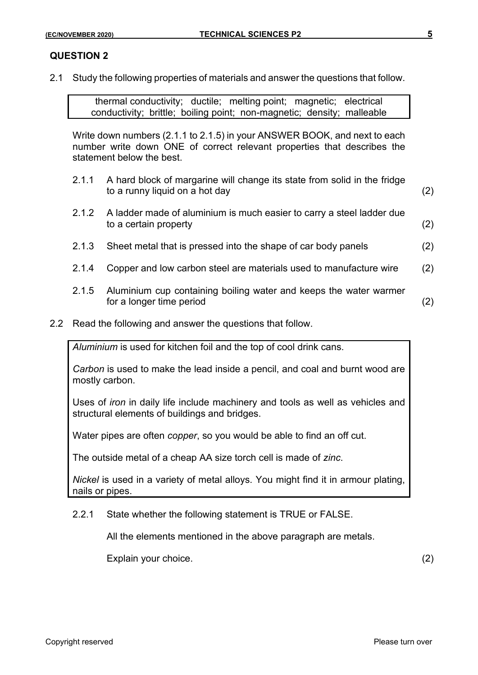2.1 Study the following properties of materials and answer the questions that follow.

thermal conductivity; ductile; melting point; magnetic; electrical conductivity; brittle; boiling point; non-magnetic; density; malleable

Write down numbers (2.1.1 to 2.1.5) in your ANSWER BOOK, and next to each number write down ONE of correct relevant properties that describes the statement below the best.

- 2.1.1 A hard block of margarine will change its state from solid in the fridge to a runny liquid on a hot day (2)
- 2.1.2 A ladder made of aluminium is much easier to carry a steel ladder due to a certain property (2)
- 2.1.3 Sheet metal that is pressed into the shape of car body panels (2)
- 2.1.4 Copper and low carbon steel are materials used to manufacture wire (2)
- 2.1.5 Aluminium cup containing boiling water and keeps the water warmer for a longer time period (2)
- 2.2 Read the following and answer the questions that follow.

*Aluminium* is used for kitchen foil and the top of cool drink cans.

*Carbon* is used to make the lead inside a pencil, and coal and burnt wood are mostly carbon.

Uses of *iron* in daily life include machinery and tools as well as vehicles and structural elements of buildings and bridges.

Water pipes are often *copper*, so you would be able to find an off cut.

The outside metal of a cheap AA size torch cell is made of *zinc*.

*Nickel* is used in a variety of metal alloys. You might find it in armour plating, nails or pipes.

#### 2.2.1 State whether the following statement is TRUE or FALSE.

All the elements mentioned in the above paragraph are metals.

Explain your choice. (2)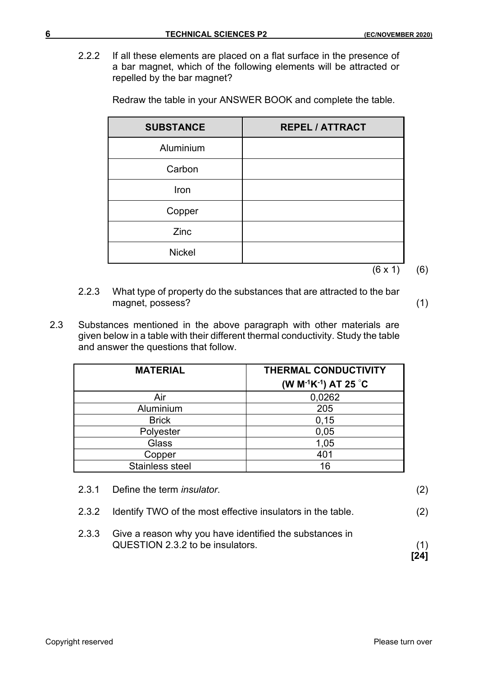2.2.2 If all these elements are placed on a flat surface in the presence of a bar magnet, which of the following elements will be attracted or repelled by the bar magnet?

Redraw the table in your ANSWER BOOK and complete the table.

| <b>SUBSTANCE</b> | <b>REPEL / ATTRACT</b> |
|------------------|------------------------|
| Aluminium        |                        |
| Carbon           |                        |
| Iron             |                        |
| Copper           |                        |
| Zinc             |                        |
| <b>Nickel</b>    |                        |
|                  | $(6 \times 1)$         |

- 2.2.3 What type of property do the substances that are attracted to the bar magnet, possess? (1)
- 2.3 Substances mentioned in the above paragraph with other materials are given below in a table with their different thermal conductivity. Study the table and answer the questions that follow.

| <b>MATERIAL</b> | <b>THERMAL CONDUCTIVITY</b><br>(W M <sup>-1</sup> K <sup>-1</sup> ) AT 25 °C |
|-----------------|------------------------------------------------------------------------------|
| Air             | 0,0262                                                                       |
| Aluminium       | 205                                                                          |
| <b>Brick</b>    | 0, 15                                                                        |
| Polyester       | 0,05                                                                         |
| Glass           | 1,05                                                                         |
| Copper          | 401                                                                          |
| Stainless steel | 16                                                                           |

| 2.3.1 Define the term <i>insulator</i> . |  |
|------------------------------------------|--|
|                                          |  |

- 2.3.2 Identify TWO of the most effective insulators in the table. (2)
- 2.3.3 Give a reason why you have identified the substances in QUESTION 2.3.2 to be insulators. (1)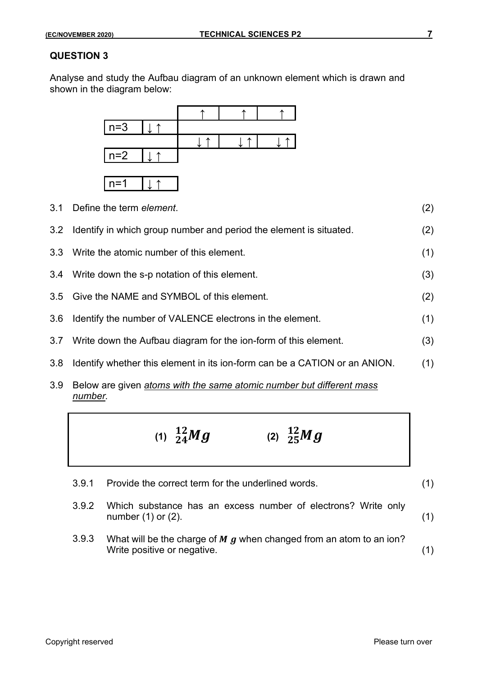Analyse and study the Aufbau diagram of an unknown element which is drawn and shown in the diagram below:



- 3.1 Define the term *element*. (2) 3.2 Identify in which group number and period the element is situated. (2) 3.3 Write the atomic number of this element. (1) 3.4 Write down the s-p notation of this element. (3) 3.5 Give the NAME and SYMBOL of this element. (2) 3.6 Identify the number of VALENCE electrons in the element. (1) 3.7 Write down the Aufbau diagram for the ion-form of this element. (3) 3.8 Identify whether this element in its ion-form can be a CATION or an ANION. (1)
- 3.9 Below are given *atoms with the same atomic number but different mass number.*



- 3.9.1 Provide the correct term for the underlined words. (1)
- 3.9.2 Which substance has an excess number of electrons? Write only  $number(1)$  or  $(2)$ .  $(1)$
- 3.9.3 What will be the charge of  $\bm{M}$  g when changed from an atom to an ion? Write positive or negative. (1)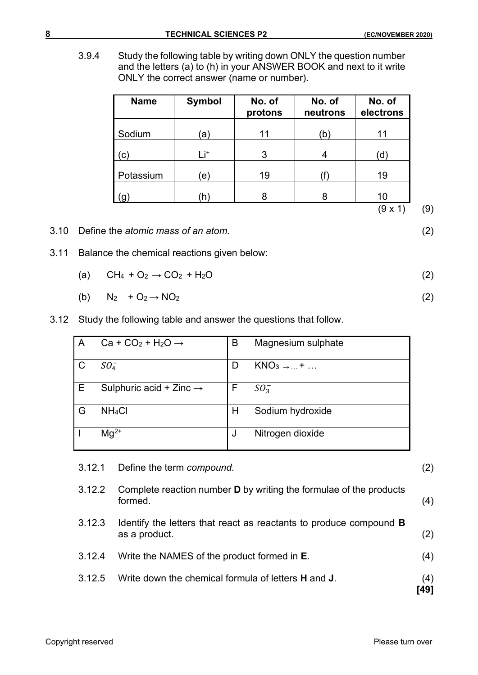3.9.4 Study the following table by writing down ONLY the question number and the letters (a) to (h) in your ANSWER BOOK and next to it write ONLY the correct answer (name or number).

| <b>Name</b>            | <b>Symbol</b>   | No. of<br>protons | No. of<br>neutrons | No. of<br>electrons |
|------------------------|-----------------|-------------------|--------------------|---------------------|
| Sodium                 | ʿa)             | 11                | b)                 | 11                  |
| $\mathsf{C}\mathsf{C}$ | Li <sup>+</sup> | 3                 | 4                  | d.                  |
| Potassium              | $\epsilon)$     | 19                |                    | 19                  |
|                        | 'n)             | 8                 | 8                  | 10                  |

 $(9 \times 1)$  (9)

- 3.10 Define the *atomic mass of an atom.* (2)
- 3.11 Balance the chemical reactions given below:

$$
(a) \quad CH_4 + O_2 \rightarrow CO_2 + H_2O \tag{2}
$$

- (b)  $N_2 + O_2 \rightarrow NO_2$  (2)
- 3.12 Study the following table and answer the questions that follow.

| A | Ca + CO <sub>2</sub> + H <sub>2</sub> O $\rightarrow$ | B            | Magnesium sulphate     |
|---|-------------------------------------------------------|--------------|------------------------|
| C | $SO_4^-$                                              | $\mathsf{D}$ | $KNO3 \rightarrow  + $ |
|   | Sulphuric acid + Zinc $\rightarrow$                   | F            | $SO_3^-$               |
| G | NH <sub>4</sub> CI                                    | н            | Sodium hydroxide       |
|   | $Mq^{2+}$                                             |              | Nitrogen dioxide       |

| 3.12.1 | Define the term compound.                                                                  | (2)         |
|--------|--------------------------------------------------------------------------------------------|-------------|
| 3.12.2 | Complete reaction number <b>D</b> by writing the formulae of the products<br>formed.       | (4)         |
| 3.12.3 | Identify the letters that react as reactants to produce compound <b>B</b><br>as a product. | (2)         |
| 3.12.4 | Write the NAMES of the product formed in <b>E</b> .                                        | (4)         |
| 3.12.5 | Write down the chemical formula of letters <b>H</b> and <b>J</b> .                         | (4)<br>[49] |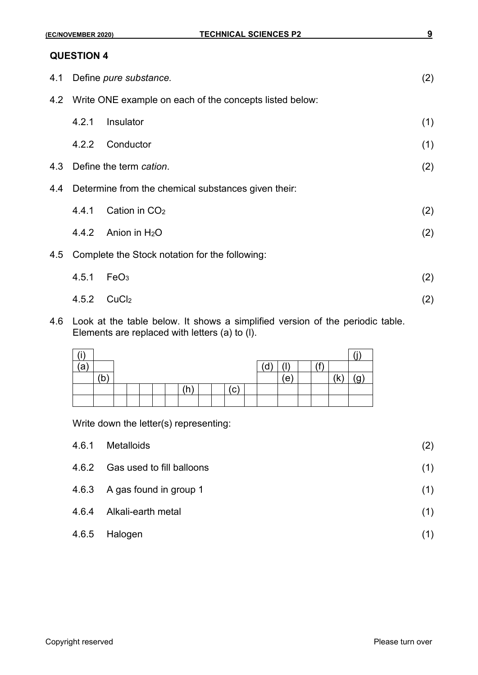| 4.1 |                                                | Define pure substance.                                      | (2) |  |  |  |  |
|-----|------------------------------------------------|-------------------------------------------------------------|-----|--|--|--|--|
|     |                                                | 4.2 Write ONE example on each of the concepts listed below: |     |  |  |  |  |
|     | 4.2.1                                          | Insulator                                                   | (1) |  |  |  |  |
|     | 4.2.2                                          | Conductor                                                   | (1) |  |  |  |  |
| 4.3 |                                                | Define the term cation.<br>(2)                              |     |  |  |  |  |
| 4.4 |                                                | Determine from the chemical substances given their:         |     |  |  |  |  |
|     | 4.4.1                                          | Cation in CO <sub>2</sub>                                   | (2) |  |  |  |  |
|     |                                                | 4.4.2 Anion in $H_2O$                                       | (2) |  |  |  |  |
| 4.5 | Complete the Stock notation for the following: |                                                             |     |  |  |  |  |
|     | 4.5.1                                          | FeO <sub>3</sub>                                            | (2) |  |  |  |  |
|     |                                                | $4.5.2$ CuCl <sub>2</sub>                                   | (2) |  |  |  |  |

4.6 Look at the table below. It shows a simplified version of the periodic table. Elements are replaced with letters (a) to (l).

| $\cdots$ |   |  |  |  |  |     |    |     |  |  |
|----------|---|--|--|--|--|-----|----|-----|--|--|
| 'a       |   |  |  |  |  |     | d, |     |  |  |
|          | D |  |  |  |  |     |    | (e) |  |  |
|          |   |  |  |  |  | 'c, |    |     |  |  |
|          |   |  |  |  |  |     |    |     |  |  |

Write down the letter(s) representing:

| 4.6.1 | Metalloids                      | (2) |
|-------|---------------------------------|-----|
|       | 4.6.2 Gas used to fill balloons | (1) |
|       | 4.6.3 A gas found in group 1    | (1) |
| 4.6.4 | Alkali-earth metal              | (1) |
|       | 4.6.5 Halogen                   | (1) |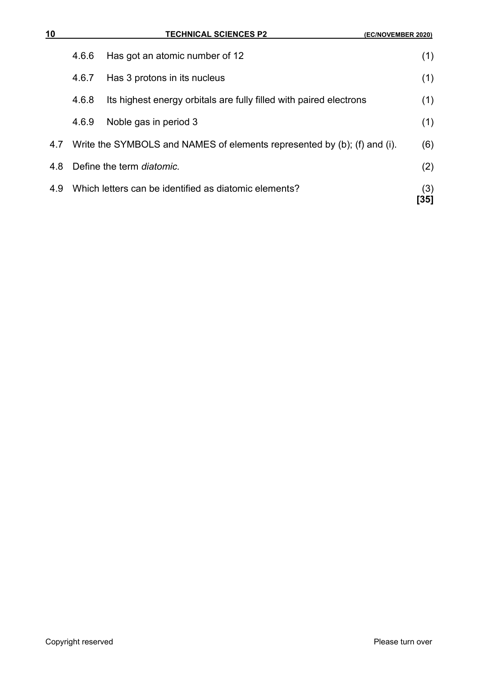| 10  |       | <b>TECHNICAL SCIENCES P2</b>                                             | <b>(EC/NOVEMBER 2020)</b> |
|-----|-------|--------------------------------------------------------------------------|---------------------------|
|     | 4.6.6 | Has got an atomic number of 12                                           | (1)                       |
|     | 4.6.7 | Has 3 protons in its nucleus                                             | (1)                       |
|     | 4.6.8 | Its highest energy orbitals are fully filled with paired electrons       | (1)                       |
|     | 4.6.9 | Noble gas in period 3                                                    | (1)                       |
| 4.7 |       | Write the SYMBOLS and NAMES of elements represented by (b); (f) and (i). | (6)                       |
| 4.8 |       | Define the term diatomic.                                                | (2)                       |
| 4.9 |       | Which letters can be identified as diatomic elements?                    | (3)<br>[35]               |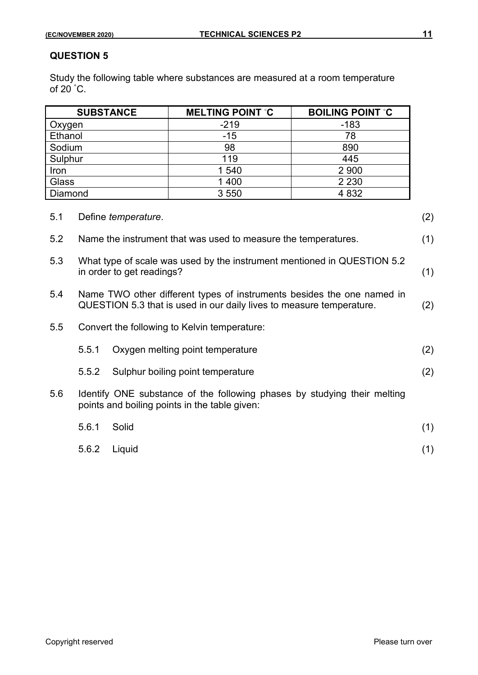Study the following table where substances are measured at a room temperature of  $20^{\degree}$ C.

|            | <b>SUBSTANCE</b>                                                                                                                                      |        | <b>MELTING POINT °C</b>                                                                                                   | <b>BOILING POINT °C</b> |     |  |
|------------|-------------------------------------------------------------------------------------------------------------------------------------------------------|--------|---------------------------------------------------------------------------------------------------------------------------|-------------------------|-----|--|
| Oxygen     |                                                                                                                                                       |        | $-219$                                                                                                                    | $-183$                  |     |  |
| Ethanol    |                                                                                                                                                       |        | $-15$                                                                                                                     | 78                      |     |  |
| Sodium     |                                                                                                                                                       |        | 98                                                                                                                        | 890                     |     |  |
| Sulphur    |                                                                                                                                                       |        | 119                                                                                                                       | 445                     |     |  |
| Iron       |                                                                                                                                                       |        | 1 540                                                                                                                     | 2 900                   |     |  |
| Glass      | 2 2 3 0                                                                                                                                               |        |                                                                                                                           |                         |     |  |
| Diamond    |                                                                                                                                                       |        | 3 5 5 0                                                                                                                   | 4 8 3 2                 |     |  |
| 5.1<br>5.2 | Define temperature.<br>Name the instrument that was used to measure the temperatures.                                                                 |        |                                                                                                                           |                         |     |  |
| 5.3        | (1)<br>What type of scale was used by the instrument mentioned in QUESTION 5.2<br>(1)<br>in order to get readings?                                    |        |                                                                                                                           |                         |     |  |
| 5.4        | Name TWO other different types of instruments besides the one named in<br>QUESTION 5.3 that is used in our daily lives to measure temperature.<br>(2) |        |                                                                                                                           |                         |     |  |
| 5.5        |                                                                                                                                                       |        | Convert the following to Kelvin temperature:                                                                              |                         |     |  |
|            | 5.5.1                                                                                                                                                 |        | Oxygen melting point temperature                                                                                          |                         | (2) |  |
|            | 5.5.2                                                                                                                                                 |        | Sulphur boiling point temperature                                                                                         |                         | (2) |  |
| 5.6        |                                                                                                                                                       |        | Identify ONE substance of the following phases by studying their melting<br>points and boiling points in the table given: |                         |     |  |
|            | 5.6.1                                                                                                                                                 | Solid  |                                                                                                                           |                         | (1) |  |
|            | 5.6.2                                                                                                                                                 | Liquid |                                                                                                                           |                         | (1) |  |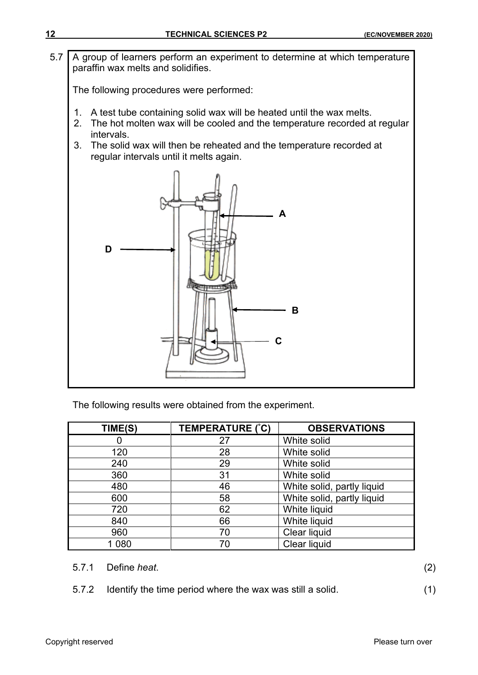5.7 A group of learners perform an experiment to determine at which temperature paraffin wax melts and solidifies.

The following procedures were performed:

- 1. A test tube containing solid wax will be heated until the wax melts.
- 2. The hot molten wax will be cooled and the temperature recorded at regular intervals.
- 3. The solid wax will then be reheated and the temperature recorded at regular intervals until it melts again.



The following results were obtained from the experiment.

| TIME(S) | TEMPERATURE (°C) | <b>OBSERVATIONS</b>        |
|---------|------------------|----------------------------|
|         | 27               | White solid                |
| 120     | 28               | White solid                |
| 240     | 29               | White solid                |
| 360     | 31               | White solid                |
| 480     | 46               | White solid, partly liquid |
| 600     | 58               | White solid, partly liquid |
| 720     | 62               | White liquid               |
| 840     | 66               | White liquid               |
| 960     | 70               | Clear liquid               |
| 1 080   | 70               | Clear liquid               |

- 5.7.1 Define *heat*. (2)
- 5.7.2 Identify the time period where the wax was still a solid. (1)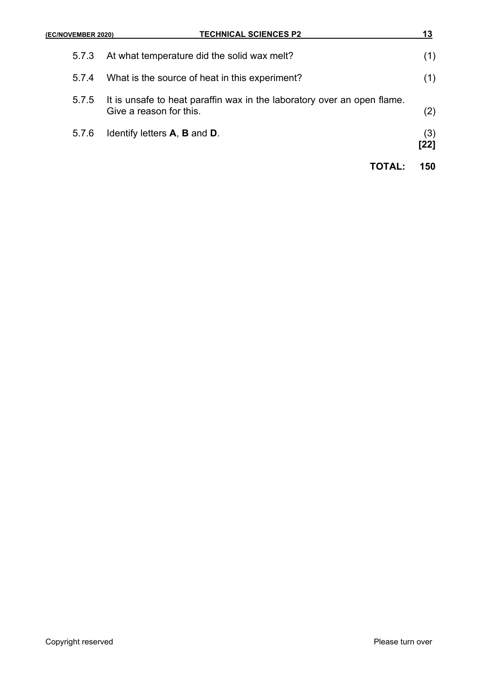#### **(EC/NOVEMBER 2020) TECHNICAL SCIENCES P2 13**

| 5.7.3 | At what temperature did the solid wax melt?                                                              | (1)           |
|-------|----------------------------------------------------------------------------------------------------------|---------------|
| 5.7.4 | What is the source of heat in this experiment?                                                           | (1)           |
|       | 5.7.5 It is unsafe to heat paraffin wax in the laboratory over an open flame.<br>Give a reason for this. | (2)           |
| 5.7.6 | Identify letters <b>A</b> , <b>B</b> and <b>D</b> .                                                      | (3)<br>$[22]$ |
|       | $\mathbf{I}(\mathbf{I} \mathbf{A} \mathbf{I})$                                                           | 150           |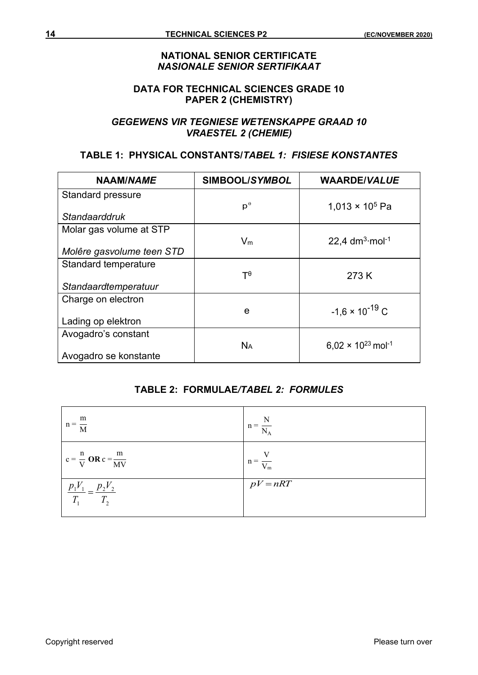#### **NATIONAL SENIOR CERTIFICATE** *NASIONALE SENIOR SERTIFIKAAT*

#### **DATA FOR TECHNICAL SCIENCES GRADE 10 PAPER 2 (CHEMISTRY)**

#### *GEGEWENS VIR TEGNIESE WETENSKAPPE GRAAD 10 VRAESTEL 2 (CHEMIE)*

#### **TABLE 1: PHYSICAL CONSTANTS/***TABEL 1: FISIESE KONSTANTES*

| NAAM/NAME                 | SIMBOOL/SYMBOL       | <b>WAARDE/VALUE</b>                     |
|---------------------------|----------------------|-----------------------------------------|
| <b>Standard pressure</b>  |                      |                                         |
| Standaarddruk             | $p^{\theta}$         | 1,013 $\times$ 10 <sup>5</sup> Pa       |
| Molar gas volume at STP   |                      |                                         |
|                           | $V_m$                | 22,4 $dm^3$ mol <sup>-1</sup>           |
| Molêre gasvolume teen STD |                      |                                         |
| Standard temperature      |                      |                                         |
|                           | $T^{\theta}$         | 273 K                                   |
| Standaardtemperatuur      |                      |                                         |
| Charge on electron        |                      |                                         |
|                           | e                    | $-1,6 \times 10^{-19}$ C                |
| Lading op elektron        |                      |                                         |
| Avogadro's constant       |                      |                                         |
|                           | <b>N<sub>A</sub></b> | $6.02 \times 10^{23}$ mol <sup>-1</sup> |
| Avogadro se konstante     |                      |                                         |

### **TABLE 2: FORMULAE***/TABEL 2: FORMULES*

| m<br>$n = \frac{1}{M}$                                       | N<br>$n = \frac{N_A}{N_A}$ |
|--------------------------------------------------------------|----------------------------|
| $c = \frac{n}{V}$ OR $c = \frac{m}{MV}$                      | $n = \frac{1}{V_m}$        |
| $\frac{p_1 V_1}{\frac{p_2 V_2}{\cdots}}$<br>$T$ ,<br>$T_{1}$ | $pV = nRT$                 |